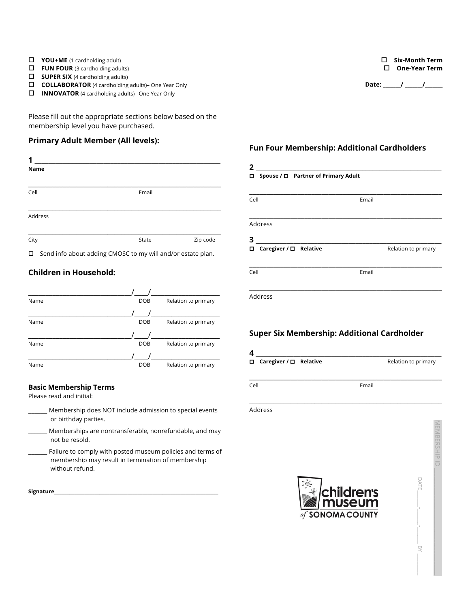- o **YOU+ME** (1 cardholding adult)
- $\Box$  **FUN FOUR** (3 cardholding adults)
- $\Box$  **SUPER SIX** (4 cardholding adults)
- **COLLABORATOR** (4 cardholding adults)- One Year Only
- □ **INNOVATOR** (4 cardholding adults)– One Year Only

Please fill out the appropriate sections below based on the membership level you have purchased.

## **Primary Adult Member (All levels):**

| 1           |                                                                    |          |
|-------------|--------------------------------------------------------------------|----------|
| <b>Name</b> |                                                                    |          |
|             |                                                                    |          |
| Cell        | Email                                                              |          |
|             |                                                                    |          |
| Address     |                                                                    |          |
|             |                                                                    |          |
| City        | State                                                              | Zip code |
|             | $\Box$ Cand info about adding $CMOCC$ to musual and/or octato plan |          |

Send info about adding CMOSC to my will and/or estate plan.

# **Children in Household:**

| Name | <b>DOB</b> | Relation to primary |
|------|------------|---------------------|
|      |            |                     |
| Name | <b>DOB</b> | Relation to primary |
|      |            |                     |
| Name | <b>DOB</b> | Relation to primary |
|      |            |                     |
| Name | <b>DOB</b> | Relation to primary |

## **Basic Membership Terms**

Please read and initial:

- **\_\_\_\_\_\_** Membership does NOT include admission to special events or birthday parties.
- **\_\_\_\_\_\_** Memberships are nontransferable, nonrefundable, and may not be resold.
- **\_\_\_\_\_\_** Failure to comply with posted museum policies and terms of membership may result in termination of membership without refund.

| Signature |
|-----------|
|-----------|

#### o **Six-Month Term** □ One-Year Term

**Date: \_\_\_\_\_\_\_/ \_\_\_\_\_\_\_/\_\_\_\_\_\_\_**

## **Fun Four Membership: Additional Cardholders**

| 2                                        |                     |  |  |  |
|------------------------------------------|---------------------|--|--|--|
| Spouse / □ Partner of Primary Adult<br>о |                     |  |  |  |
|                                          |                     |  |  |  |
| Cell                                     | Email               |  |  |  |
|                                          |                     |  |  |  |
| Address                                  |                     |  |  |  |
| 3                                        |                     |  |  |  |
| Caregiver / □ Relative<br>□              | Relation to primary |  |  |  |
|                                          |                     |  |  |  |
| Cell                                     | Email               |  |  |  |
|                                          |                     |  |  |  |
| Address                                  |                     |  |  |  |

# **Super Six Membership: Additional Cardholder**

| 4                        |       |                     |
|--------------------------|-------|---------------------|
| □ Caregiver / □ Relative |       | Relation to primary |
| Cell                     | Email |                     |

\_\_\_\_\_\_\_\_\_\_\_\_\_\_\_\_\_\_\_\_\_\_\_\_\_\_\_\_\_\_\_\_\_\_\_\_\_\_\_\_\_\_\_\_\_\_\_\_\_\_\_\_\_\_\_\_

Address



MEMBERSHIP ID \_\_\_\_\_\_\_\_\_\_\_\_\_\_\_\_\_\_\_\_\_\_\_\_\_\_\_\_\_\_\_\_\_\_\_\_\_\_\_

DATE

 $\lambda$ B $\overline{\phantom{0}}$  .

叉